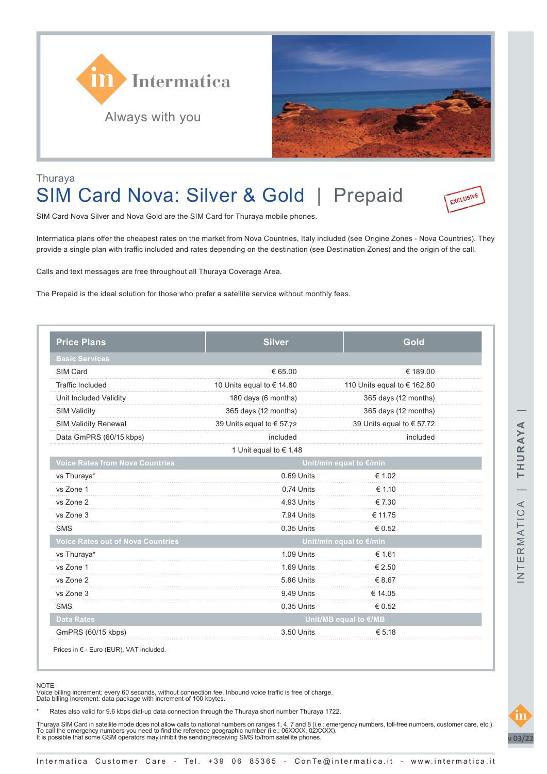



### Thuraya SIM Card Nova: Silver & Gold | Prepaid



SIM Card Nova Silver and Nova Gold are the SIM Card for Thuraya mobile phones.

Intermatica plans offer the cheapest rates on the market from Nova Countries, Italy included (see Origine Zones - Nova Countries). They provide a single plan with traffic included and rates depending on the destination (see Destination Zones) and the origin of the call.

Calls and text messages are free throughout all Thuraya Coverage Area.

The Prepaid is the ideal solution for those who prefer a satellite service without monthly fees.

| <b>Price Plans</b>                       | <b>Silver</b>             | Gold                        |  |
|------------------------------------------|---------------------------|-----------------------------|--|
| <b>Basic Services</b>                    |                           |                             |  |
| SIM Card                                 | € 65.00                   | € 189.00                    |  |
| <b>Traffic Included</b>                  | 10 Units equal to € 14.80 | 110 Units equal to € 162.80 |  |
| Unit Included Validity                   | 180 days (6 months)       | 365 days (12 months)        |  |
| <b>SIM Validity</b>                      | 365 days (12 months)      | 365 days (12 months)        |  |
| <b>SIM Validity Renewal</b>              | 39 Units equal to € 57.72 | 39 Units equal to € 57.72   |  |
| Data GmPRS (60/15 kbps)                  | included                  | included                    |  |
|                                          | 1 Unit equal to € 1.48    |                             |  |
| <b>Voice Rates from Nova Countries</b>   | Unit/min equal to €/min   |                             |  |
| vs Thuraya*                              | 0.69 Units                | € 1.02                      |  |
| vs Zone 1                                | 0.74 Units                | € 1.10                      |  |
| vs Zone 2                                | 4.93 Units                | € 7.30                      |  |
| vs Zone 3                                | 7.94 Units                | € 11.75                     |  |
| <b>SMS</b>                               | 0.35 Units                | € 0.52                      |  |
| <b>Voice Rates out of Nova Countries</b> | Unit/min equal to €/min   |                             |  |
| vs Thuraya*                              | 1.09 Units                | € 1.61                      |  |
| vs Zone 1                                | 1.69 Units                | € 2.50                      |  |
| vs Zone 2                                | 5.86 Units                | € 8.67                      |  |
| vs Zone 3                                | 9.49 Units                | € 14.05                     |  |
| <b>SMS</b>                               | 0.35 Units                | € 0.52                      |  |
| <b>Data Rates</b>                        |                           | Unit/MB equal to €/MB       |  |
| GmPRS (60/15 kbps)                       | 3.50 Units                | € 5.18                      |  |

Prices in € - Euro (EUR), VAT included.

Voice billing increment: every 60 seconds, without connection fee. Inbound voice traffic is free of charge. Data billing increment: data package with increment of 100 kbytes.

Rates also valid for 9.6 kbps dial-up data connection through the Thuraya short number Thuraya 1722.

Thuraya SIM Card in satellite mode does not allow calls to national numbers on ranges 1, 4, 7 and 8 (i.e.: emergency numbers, toll-free numbers, customer care, etc.).<br>To call the emergency numbers you need to find the ref



NOTE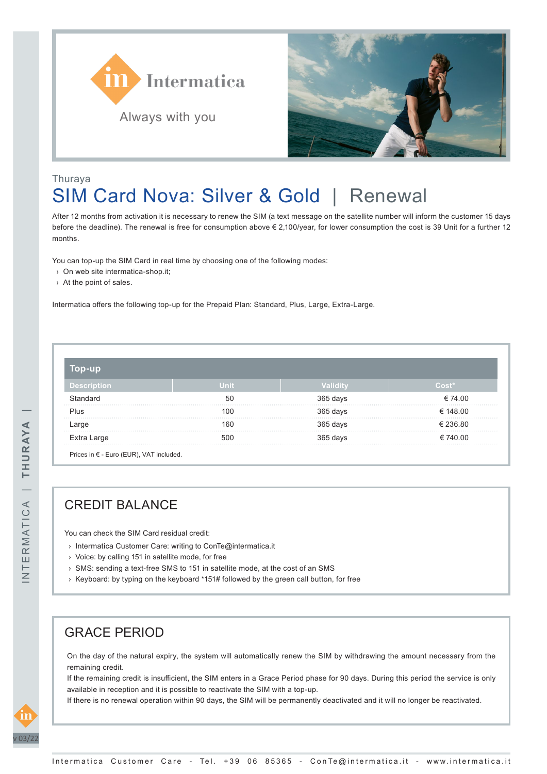



# Thuraya SIM Card Nova: Silver & Gold | Renewal

After 12 months from activation it is necessary to renew the SIM (a text message on the satellite number will inform the customer 15 days before the deadline). The renewal is free for consumption above € 2,100/year, for lower consumption the cost is 39 Unit for a further 12 months.

You can top-up the SIM Card in real time by choosing one of the following modes:

- › On web site intermatica-shop.it;
- › At the point of sales.

Intermatica offers the following top-up for the Prepaid Plan: Standard, Plus, Large, Extra-Large.

| $0D-UD$     |             |          |          |  |
|-------------|-------------|----------|----------|--|
| Description | <b>Unit</b> | Validit  | Cost*    |  |
| Standard    | 50          | 365 days | € 74.00  |  |
| Plus        | 100         | 365 days | € 148.00 |  |
| Large       | 160         | 365 days | € 236.80 |  |
| Extra Large | 500         | 365 days | € 740.00 |  |

## CREDIT BALANCE

You can check the SIM Card residual credit:

- › Intermatica Customer Care: writing to ConTe@intermatica.it
- › Voice: by calling 151 in satellite mode, for free
- › SMS: sending a text-free SMS to 151 in satellite mode, at the cost of an SMS
- › Keyboard: by typing on the keyboard \*151# followed by the green call button, for free

#### GRACE PERIOD

On the day of the natural expiry, the system will automatically renew the SIM by withdrawing the amount necessary from the remaining credit.

If the remaining credit is insufficient, the SIM enters in a Grace Period phase for 90 days. During this period the service is only available in reception and it is possible to reactivate the SIM with a top-up.

If there is no renewal operation within 90 days, the SIM will be permanently deactivated and it will no longer be reactivated.